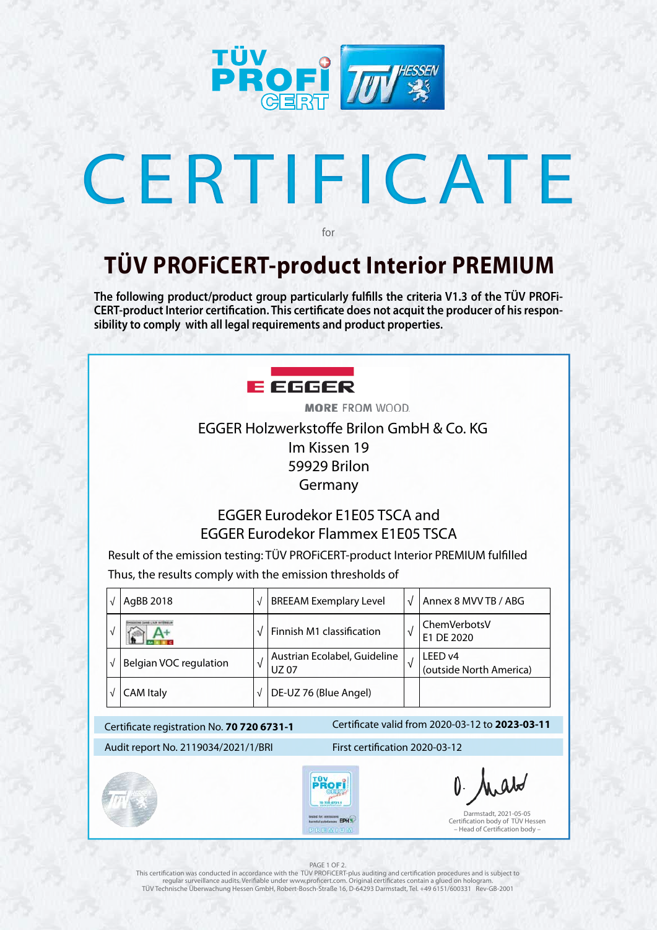

# CERTIFICATE

### Certificate valid from 2020-03-12 to **2023-03-11** Certificate registration No. **70 720 6731-1** Audit report No. 2119034/2021/1/BRI First certification 2020-03-12 70 720 6731-1 Darmstadt, 2021-05-05 techet fac emissions<br>formful substances EPH % Certification body of TÜV Hessen

#### PAGE 1 OF 2

PREMIUM

– Head of Certification body –

## **TÜV PROFiCERT-product Interior PREMIUM**

for

**The following product/product group particularly fulfills the criteria V1.3 of the TÜV PROFi-CERT-product Interior certification. This certificate does not acquit the producer of his responsibility to comply with all legal requirements and product properties.** 



**MORE FROM WOOD.** EGGER Holzwerkstoffe Brilon GmbH & Co. KG Im Kissen 19 59929 Brilon Germany

This certification was conducted in accordance with the TÜV PROFiCERT-plus auditing and certification procedures and is subject to regular surveillance audits. Verifiable under www.proficert.com. Original certificates contain a glued on hologram. TÜV Technische Überwachung Hessen GmbH, Robert-Bosch-Straße 16, D-64293 Darmstadt, Tel. +49 6151/600331 Rev-GB-2001

### EGGER Eurodekor E1E05 TSCA and EGGER Eurodekor Flammex E1E05 TSCA

Result of the emission testing: TÜV PROFiCERT-product Interior PREMIUM fulfilled Thus, the results comply with the emission thresholds of

|  | AgBB 2018              | $\sqrt{ }$ | <b>BREEAM Exemplary Level</b>               | V | Annex 8 MVV TB / ABG               |
|--|------------------------|------------|---------------------------------------------|---|------------------------------------|
|  |                        |            | Finnish M1 classification                   | √ | ChemVerbotsV<br>E1 DE 2020         |
|  | Belgian VOC regulation | V          | Austrian Ecolabel, Guideline<br><b>UZ07</b> |   | LEED v4<br>(outside North America) |
|  | <b>CAM Italy</b>       |            | DE-UZ 76 (Blue Angel)                       |   |                                    |